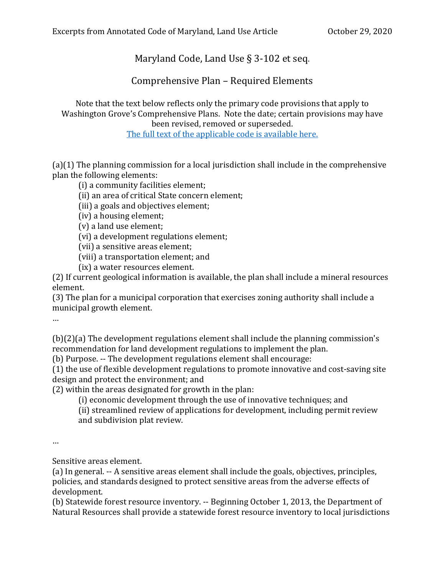## Maryland Code, Land Use § 3-102 et seq.

Comprehensive Plan – Required Elements

Note that the text below reflects only the primary code provisions that apply to Washington Grove's Comprehensive Plans. Note the date; certain provisions may have been revised, removed or superseded.

The full text [of the applicable code](https://codes.findlaw.com/md/land-use/md-code-land-use-sect-3-102.html) is available here.

(a)(1) The planning commission for a local jurisdiction shall include in the comprehensive plan the following elements:

(i) a community facilities element;

(ii) an area of critical State concern element;

(iii) a goals and objectives element;

(iv) a housing element;

(v) a land use element;

(vi) a development regulations element;

(vii) a sensitive areas element;

(viii) a transportation element; and

(ix) a water resources element.

(2) If current geological information is available, the plan shall include a mineral resources element.

(3) The plan for a municipal corporation that exercises zoning authority shall include a municipal growth element.

…

(b)(2)(a) The development regulations element shall include the planning commission's recommendation for land development regulations to implement the plan.

(b) Purpose. -- The development regulations element shall encourage:

(1) the use of flexible development regulations to promote innovative and cost-saving site design and protect the environment; and

(2) within the areas designated for growth in the plan:

(i) economic development through the use of innovative techniques; and

(ii) streamlined review of applications for development, including permit review and subdivision plat review.

…

Sensitive areas element.

(a) In general. -- A sensitive areas element shall include the goals, objectives, principles, policies, and standards designed to protect sensitive areas from the adverse effects of development.

(b) Statewide forest resource inventory. -- Beginning October 1, 2013, the Department of Natural Resources shall provide a statewide forest resource inventory to local jurisdictions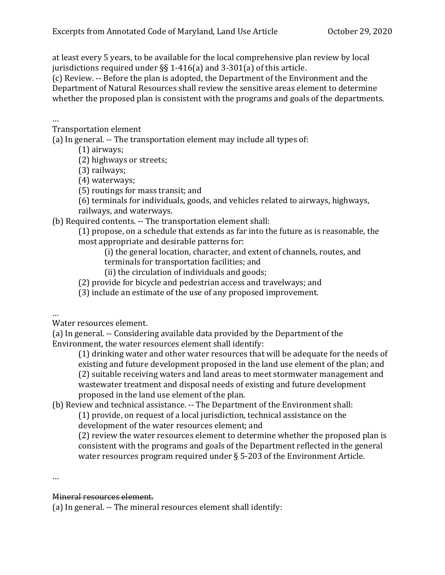at least every 5 years, to be available for the local comprehensive plan review by local jurisdictions required under §§ 1-416(a) and 3-301(a) of this article.

(c) Review. -- Before the plan is adopted, the Department of the Environment and the Department of Natural Resources shall review the sensitive areas element to determine whether the proposed plan is consistent with the programs and goals of the departments.

## …

Transportation element

(a) In general. -- The transportation element may include all types of:

(1) airways;

(2) highways or streets;

(3) railways;

(4) waterways;

(5) routings for mass transit; and

(6) terminals for individuals, goods, and vehicles related to airways, highways, railways, and waterways.

(b) Required contents. -- The transportation element shall:

(1) propose, on a schedule that extends as far into the future as is reasonable, the most appropriate and desirable patterns for:

(i) the general location, character, and extent of channels, routes, and

- terminals for transportation facilities; and
- (ii) the circulation of individuals and goods;

(2) provide for bicycle and pedestrian access and travelways; and

(3) include an estimate of the use of any proposed improvement.

…

Water resources element.

(a) In general. -- Considering available data provided by the Department of the Environment, the water resources element shall identify:

(1) drinking water and other water resources that will be adequate for the needs of existing and future development proposed in the land use element of the plan; and (2) suitable receiving waters and land areas to meet stormwater management and wastewater treatment and disposal needs of existing and future development proposed in the land use element of the plan.

(b) Review and technical assistance. -- The Department of the Environment shall:

(1) provide, on request of a local jurisdiction, technical assistance on the development of the water resources element; and

(2) review the water resources element to determine whether the proposed plan is consistent with the programs and goals of the Department reflected in the general water resources program required under § 5-203 of the Environment Article.

…

## Mineral resources element.

(a) In general. -- The mineral resources element shall identify: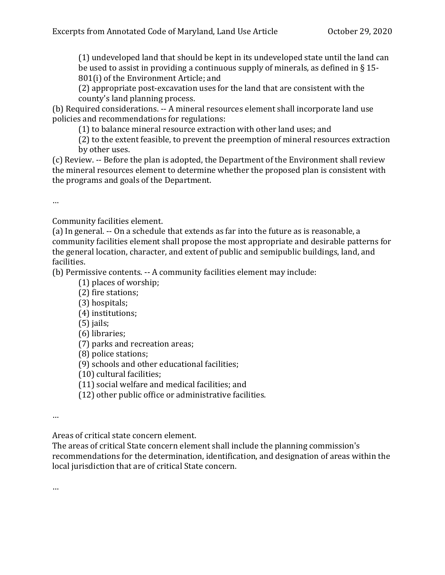(1) undeveloped land that should be kept in its undeveloped state until the land can be used to assist in providing a continuous supply of minerals, as defined in § 15- 801(i) of the Environment Article; and

(2) appropriate post-excavation uses for the land that are consistent with the county's land planning process.

(b) Required considerations. -- A mineral resources element shall incorporate land use policies and recommendations for regulations:

(1) to balance mineral resource extraction with other land uses; and

(2) to the extent feasible, to prevent the preemption of mineral resources extraction by other uses.

(c) Review. -- Before the plan is adopted, the Department of the Environment shall review the mineral resources element to determine whether the proposed plan is consistent with the programs and goals of the Department.

…

Community facilities element.

(a) In general. -- On a schedule that extends as far into the future as is reasonable, a community facilities element shall propose the most appropriate and desirable patterns for the general location, character, and extent of public and semipublic buildings, land, and facilities.

(b) Permissive contents. -- A community facilities element may include:

(1) places of worship;

(2) fire stations;

- (3) hospitals;
- (4) institutions;

(5) jails;

- (6) libraries;
- (7) parks and recreation areas;

(8) police stations;

(9) schools and other educational facilities;

(10) cultural facilities;

(11) social welfare and medical facilities; and

(12) other public office or administrative facilities.

…

Areas of critical state concern element.

The areas of critical State concern element shall include the planning commission's recommendations for the determination, identification, and designation of areas within the local jurisdiction that are of critical State concern.

…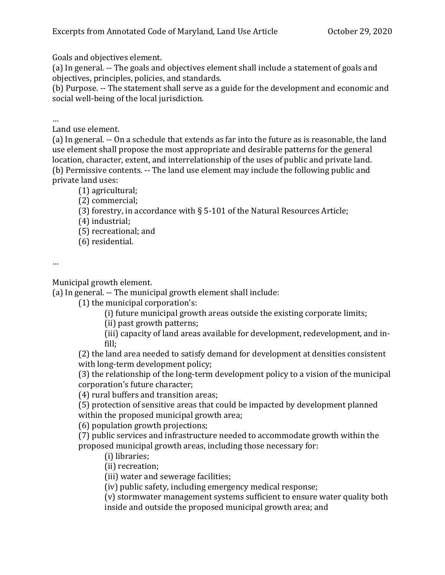Goals and objectives element.

(a) In general. -- The goals and objectives element shall include a statement of goals and objectives, principles, policies, and standards.

(b) Purpose. -- The statement shall serve as a guide for the development and economic and social well-being of the local jurisdiction.

…

Land use element.

(a) In general. -- On a schedule that extends as far into the future as is reasonable, the land use element shall propose the most appropriate and desirable patterns for the general location, character, extent, and interrelationship of the uses of public and private land. (b) Permissive contents. -- The land use element may include the following public and private land uses:

(1) agricultural;

(2) commercial;

(3) forestry, in accordance with § 5-101 of the Natural Resources Article;

(4) industrial;

(5) recreational; and

(6) residential.

…

Municipal growth element.

(a) In general. -- The municipal growth element shall include:

(1) the municipal corporation's:

(i) future municipal growth areas outside the existing corporate limits;

(ii) past growth patterns;

(iii) capacity of land areas available for development, redevelopment, and infill;

(2) the land area needed to satisfy demand for development at densities consistent with long-term development policy;

(3) the relationship of the long-term development policy to a vision of the municipal corporation's future character;

(4) rural buffers and transition areas;

(5) protection of sensitive areas that could be impacted by development planned within the proposed municipal growth area;

(6) population growth projections;

(7) public services and infrastructure needed to accommodate growth within the proposed municipal growth areas, including those necessary for:

(i) libraries;

(ii) recreation;

(iii) water and sewerage facilities;

(iv) public safety, including emergency medical response;

(v) stormwater management systems sufficient to ensure water quality both inside and outside the proposed municipal growth area; and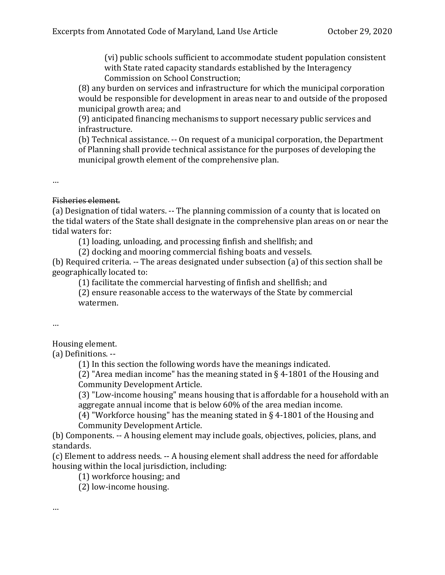(vi) public schools sufficient to accommodate student population consistent with State rated capacity standards established by the Interagency Commission on School Construction;

(8) any burden on services and infrastructure for which the municipal corporation would be responsible for development in areas near to and outside of the proposed municipal growth area; and

(9) anticipated financing mechanisms to support necessary public services and infrastructure.

(b) Technical assistance. -- On request of a municipal corporation, the Department of Planning shall provide technical assistance for the purposes of developing the municipal growth element of the comprehensive plan.

…

## Fisheries element.

(a) Designation of tidal waters. -- The planning commission of a county that is located on the tidal waters of the State shall designate in the comprehensive plan areas on or near the tidal waters for:

(1) loading, unloading, and processing finfish and shellfish; and

(2) docking and mooring commercial fishing boats and vessels.

(b) Required criteria. -- The areas designated under subsection (a) of this section shall be geographically located to:

(1) facilitate the commercial harvesting of finfish and shellfish; and

(2) ensure reasonable access to the waterways of the State by commercial watermen.

…

Housing element.

(a) Definitions. --

(1) In this section the following words have the meanings indicated.

(2) "Area median income" has the meaning stated in § 4-1801 of the Housing and Community Development Article.

(3) "Low-income housing" means housing that is affordable for a household with an aggregate annual income that is below 60% of the area median income.

(4) "Workforce housing" has the meaning stated in § 4-1801 of the Housing and Community Development Article.

(b) Components. -- A housing element may include goals, objectives, policies, plans, and standards.

(c) Element to address needs. -- A housing element shall address the need for affordable housing within the local jurisdiction, including:

(1) workforce housing; and

(2) low-income housing.

…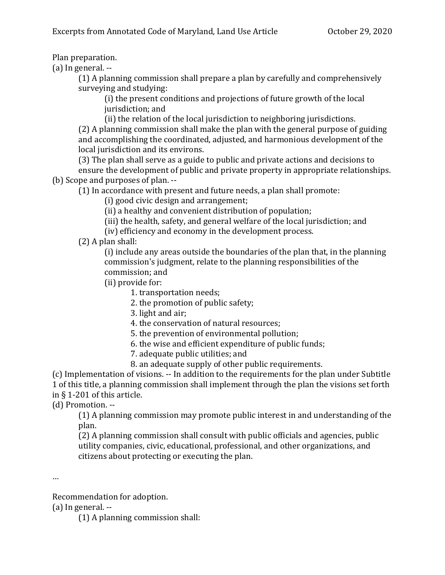Plan preparation.

(a) In general. --

(1) A planning commission shall prepare a plan by carefully and comprehensively surveying and studying:

(i) the present conditions and projections of future growth of the local jurisdiction; and

(ii) the relation of the local jurisdiction to neighboring jurisdictions.

(2) A planning commission shall make the plan with the general purpose of guiding and accomplishing the coordinated, adjusted, and harmonious development of the local jurisdiction and its environs.

(3) The plan shall serve as a guide to public and private actions and decisions to ensure the development of public and private property in appropriate relationships. (b) Scope and purposes of plan. --

(1) In accordance with present and future needs, a plan shall promote:

(i) good civic design and arrangement;

(ii) a healthy and convenient distribution of population;

(iii) the health, safety, and general welfare of the local jurisdiction; and

(iv) efficiency and economy in the development process.

(2) A plan shall:

(i) include any areas outside the boundaries of the plan that, in the planning commission's judgment, relate to the planning responsibilities of the commission; and

(ii) provide for:

1. transportation needs;

2. the promotion of public safety;

3. light and air;

4. the conservation of natural resources;

5. the prevention of environmental pollution;

- 6. the wise and efficient expenditure of public funds;
- 7. adequate public utilities; and
- 8. an adequate supply of other public requirements.

(c) Implementation of visions. -- In addition to the requirements for the plan under Subtitle 1 of this title, a planning commission shall implement through the plan the visions set forth in § 1-201 of this article.

(d) Promotion. --

(1) A planning commission may promote public interest in and understanding of the plan.

(2) A planning commission shall consult with public officials and agencies, public utility companies, civic, educational, professional, and other organizations, and citizens about protecting or executing the plan.

…

Recommendation for adoption.

(a) In general. --

(1) A planning commission shall: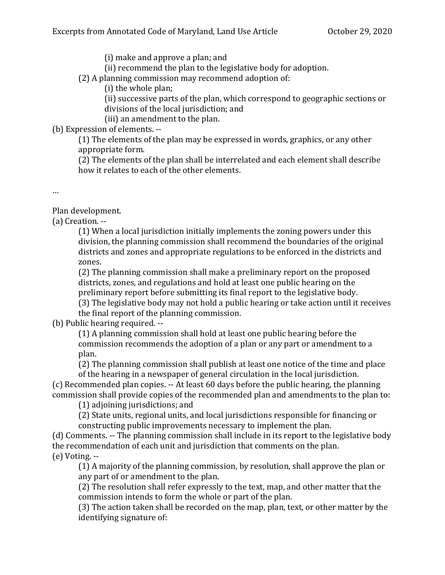(i) make and approve a plan; and

(ii) recommend the plan to the legislative body for adoption.

(2) A planning commission may recommend adoption of:

(i) the whole plan;

(ii) successive parts of the plan, which correspond to geographic sections or divisions of the local jurisdiction; and

(iii) an amendment to the plan.

(b) Expression of elements. --

(1) The elements of the plan may be expressed in words, graphics, or any other appropriate form.

(2) The elements of the plan shall be interrelated and each element shall describe how it relates to each of the other elements.

…

Plan development.

(a) Creation. --

(1) When a local jurisdiction initially implements the zoning powers under this division, the planning commission shall recommend the boundaries of the original districts and zones and appropriate regulations to be enforced in the districts and zones.

(2) The planning commission shall make a preliminary report on the proposed districts, zones, and regulations and hold at least one public hearing on the preliminary report before submitting its final report to the legislative body.

(3) The legislative body may not hold a public hearing or take action until it receives the final report of the planning commission.

(b) Public hearing required. --

(1) A planning commission shall hold at least one public hearing before the commission recommends the adoption of a plan or any part or amendment to a plan.

(2) The planning commission shall publish at least one notice of the time and place of the hearing in a newspaper of general circulation in the local jurisdiction.

(c) Recommended plan copies. -- At least 60 days before the public hearing, the planning commission shall provide copies of the recommended plan and amendments to the plan to:

(1) adjoining jurisdictions; and

(2) State units, regional units, and local jurisdictions responsible for financing or constructing public improvements necessary to implement the plan.

(d) Comments. -- The planning commission shall include in its report to the legislative body the recommendation of each unit and jurisdiction that comments on the plan. (e) Voting. --

(1) A majority of the planning commission, by resolution, shall approve the plan or any part of or amendment to the plan.

(2) The resolution shall refer expressly to the text, map, and other matter that the commission intends to form the whole or part of the plan.

(3) The action taken shall be recorded on the map, plan, text, or other matter by the identifying signature of: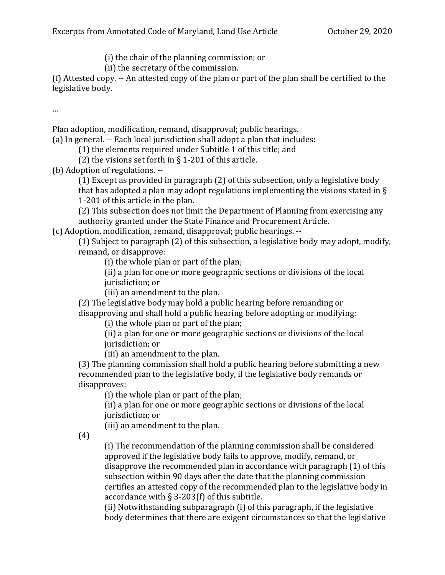(i) the chair of the planning commission; or

(ii) the secretary of the commission.

(f) Attested copy. -- An attested copy of the plan or part of the plan shall be certified to the legislative body.

…

Plan adoption, modification, remand, disapproval; public hearings.

(a) In general. -- Each local jurisdiction shall adopt a plan that includes:

(1) the elements required under Subtitle 1 of this title; and

(2) the visions set forth in  $\S$  1-201 of this article.

(b) Adoption of regulations. --

(1) Except as provided in paragraph (2) of this subsection, only a legislative body that has adopted a plan may adopt regulations implementing the visions stated in § 1-201 of this article in the plan.

(2) This subsection does not limit the Department of Planning from exercising any authority granted under the State Finance and Procurement Article.

(c) Adoption, modification, remand, disapproval; public hearings. --

(1) Subject to paragraph (2) of this subsection, a legislative body may adopt, modify, remand, or disapprove:

(i) the whole plan or part of the plan;

(ii) a plan for one or more geographic sections or divisions of the local jurisdiction; or

(iii) an amendment to the plan.

(2) The legislative body may hold a public hearing before remanding or disapproving and shall hold a public hearing before adopting or modifying:

(i) the whole plan or part of the plan;

(ii) a plan for one or more geographic sections or divisions of the local jurisdiction; or

(iii) an amendment to the plan.

(3) The planning commission shall hold a public hearing before submitting a new recommended plan to the legislative body, if the legislative body remands or disapproves:

(i) the whole plan or part of the plan;

(ii) a plan for one or more geographic sections or divisions of the local jurisdiction; or

(iii) an amendment to the plan.

(4)

(i) The recommendation of the planning commission shall be considered approved if the legislative body fails to approve, modify, remand, or disapprove the recommended plan in accordance with paragraph (1) of this subsection within 90 days after the date that the planning commission certifies an attested copy of the recommended plan to the legislative body in accordance with § 3-203(f) of this subtitle.

(ii) Notwithstanding subparagraph (i) of this paragraph, if the legislative body determines that there are exigent circumstances so that the legislative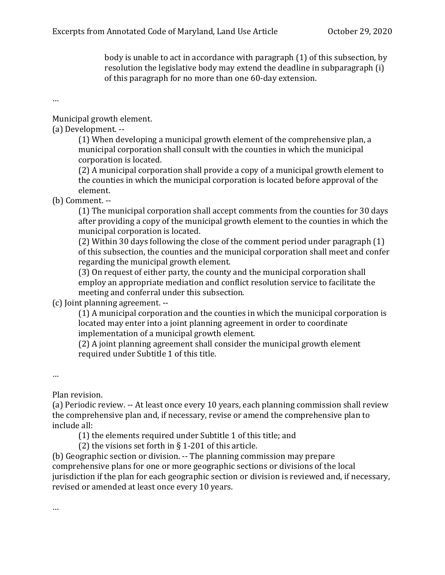body is unable to act in accordance with paragraph (1) of this subsection, by resolution the legislative body may extend the deadline in subparagraph (i) of this paragraph for no more than one 60-day extension.

…

Municipal growth element.

(a) Development. --

(1) When developing a municipal growth element of the comprehensive plan, a municipal corporation shall consult with the counties in which the municipal corporation is located.

(2) A municipal corporation shall provide a copy of a municipal growth element to the counties in which the municipal corporation is located before approval of the element.

(b) Comment. --

(1) The municipal corporation shall accept comments from the counties for 30 days after providing a copy of the municipal growth element to the counties in which the municipal corporation is located.

(2) Within 30 days following the close of the comment period under paragraph (1) of this subsection, the counties and the municipal corporation shall meet and confer regarding the municipal growth element.

(3) On request of either party, the county and the municipal corporation shall employ an appropriate mediation and conflict resolution service to facilitate the meeting and conferral under this subsection.

(c) Joint planning agreement. --

(1) A municipal corporation and the counties in which the municipal corporation is located may enter into a joint planning agreement in order to coordinate implementation of a municipal growth element.

(2) A joint planning agreement shall consider the municipal growth element required under Subtitle 1 of this title.

…

Plan revision.

(a) Periodic review. -- At least once every 10 years, each planning commission shall review the comprehensive plan and, if necessary, revise or amend the comprehensive plan to include all:

(1) the elements required under Subtitle 1 of this title; and

(2) the visions set forth in  $\S$  1-201 of this article.

(b) Geographic section or division. -- The planning commission may prepare comprehensive plans for one or more geographic sections or divisions of the local jurisdiction if the plan for each geographic section or division is reviewed and, if necessary, revised or amended at least once every 10 years.